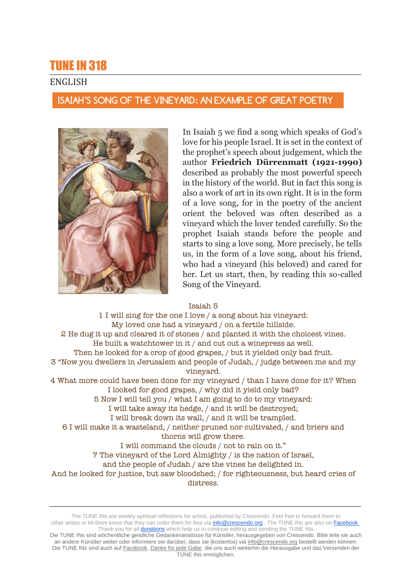# TUNE IN 318

# ENGLISH

## ISAIAH'S SONG OF THE VINEYARD: AN EXAMPLE OF GREAT POETRY



In Isaiah 5 we find a song which speaks of God's love for his people Israel. It is set in the context of the prophet's speech about judgement, which the author **Friedrich Dürrenmatt (1921-1990)** described as probably the most powerful speech in the history of the world. But in fact this song is also a work of art in its own right. It is in the form of a love song, for in the poetry of the ancient orient the beloved was often described as a vineyard which the lover tended carefully. So the prophet Isaiah stands before the people and starts to sing a love song. More precisely, he tells us, in the form of a love song, about his friend, who had a vineyard (his beloved) and cared for her. Let us start, then, by reading this so-called Song of the Vineyard.

#### Isaiah 5

1 I will sing for the one I love / a song about his vineyard: My loved one had a vineyard / on a fertile hillside. 2 He dug it up and cleared it of stones / and planted it with the choicest vines. He built a watchtower in it / and cut out a winepress as well. Then he looked for a crop of good grapes, / but it yielded only bad fruit. 3 "Now you dwellers in Jerusalem and people of Judah, / judge between me and my vineyard. 4 What more could have been done for my vineyard / than I have done for it? When I looked for good grapes, / why did it yield only bad? 5 Now I will tell you / what I am going to do to my vineyard: I will take away its hedge, / and it will be destroyed; I will break down its wall, / and it will be trampled. 6 I will make it a wasteland, / neither pruned nor cultivated, / and briers and thorns will grow there. I will command the clouds / not to rain on it." 7 The vineyard of the Lord Almighty / is the nation of Israel, and the people of Judah / are the vines he delighted in. And he looked for justice, but saw bloodshed; / for righteousness, but heard cries of distress.

The TUNE INs are weekly spiritual reflections for artists, published by Crescendo. Feel free to forward them to other artists or let them know that they can order them for free via **info@crescendo.org** . The TUNE INs are also on Facebook . Thank you for all **donations** which help us to continue editing and sending the TUNE INs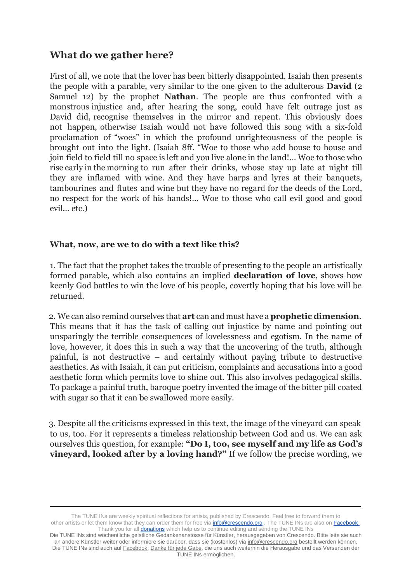# **What do we gather here?**

First of all, we note that the lover has been bitterly disappointed. Isaiah then presents the people with a parable, very similar to the one given to the adulterous **David** (2 Samuel 12) by the prophet **Nathan**. The people are thus confronted with a monstrous injustice and, after hearing the song, could have felt outrage just as David did, recognise themselves in the mirror and repent. This obviously does not happen, otherwise Isaiah would not have followed this song with a six-fold proclamation of "woes" in which the profound unrighteousness of the people is brought out into the light. (Isaiah 8ff. "Woe to those who add house to house and join field to field till no space is left and you live alone in the land!... Woe to those who rise early in the morning to run after their drinks, whose stay up late at night till they are inflamed with wine. And they have harps and lyres at their banquets, tambourines and flutes and wine but they have no regard for the deeds of the Lord, no respect for the work of his hands!... Woe to those who call evil good and good evil... etc.)

## **What, now, are we to do with a text like this?**

1. The fact that the prophet takes the trouble of presenting to the people an artistically formed parable, which also contains an implied **declaration of love**, shows how keenly God battles to win the love of his people, covertly hoping that his love will be returned.

2. We can also remind ourselves that **art** can and must have a **prophetic dimension**. This means that it has the task of calling out injustice by name and pointing out unsparingly the terrible consequences of lovelessness and egotism. In the name of love, however, it does this in such a way that the uncovering of the truth, although painful, is not destructive – and certainly without paying tribute to destructive aesthetics. As with Isaiah, it can put criticism, complaints and accusations into a good aesthetic form which permits love to shine out. This also involves pedagogical skills. To package a painful truth, baroque poetry invented the image of the bitter pill coated with sugar so that it can be swallowed more easily.

3. Despite all the criticisms expressed in this text, the image of the vineyard can speak to us, too. For it represents a timeless relationship between God and us. We can ask ourselves this question, for example: **"Do I, too, see myself and my life as God's vineyard, looked after by a loving hand?"** If we follow the precise wording, we

The TUNE INs are weekly spiritual reflections for artists, published by Crescendo. Feel free to forward them to other artists or let them know that they can order them for free via **info@crescendo.org** . The TUNE INs are also on Facebook . Thank you for all **donations** which help us to continue editing and sending the TUNE INs

Die TUNE INs sind wöchentliche geistliche Gedankenanstösse für Künstler, herausgegeben von Crescendo. Bitte leite sie auch an andere Künstler weiter oder informiere sie darüber, dass sie (kostenlos) via [info@crescendo.org](mailto:info@crescendo.org) bestellt werden können. Die TUNE INs sind auch auf [Facebook.](https://www.facebook.com/TUNEINs/) [Danke für jede Gabe,](https://www.crescendo.org/de/kontakt--spenden.html) die uns auch weiterhin die Herausgabe und das Versenden der TUNE INs ermöglichen.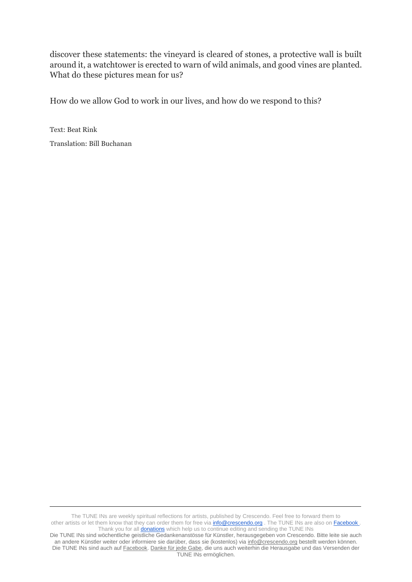discover these statements: the vineyard is cleared of stones, a protective wall is built around it, a watchtower is erected to warn of wild animals, and good vines are planted. What do these pictures mean for us?

How do we allow God to work in our lives, and how do we respond to this?

Text: Beat Rink Translation: Bill Buchanan

The TUNE INs are weekly spiritual reflections for artists, published by Crescendo. Feel free to forward them to other artists or let them know that they can order them for free vi[a info@crescendo.org](mailto:info@crescendo.org) . The TUNE INs are also on [Facebook .](https://www.facebook.com/TUNEINs/)  Thank you for all **donations** which help us to continue editing and sending the TUNE INs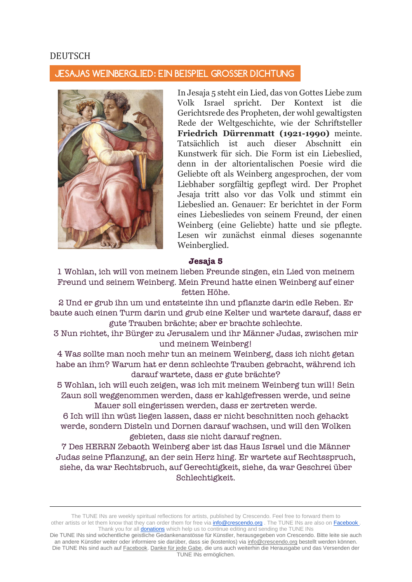### DEUTSCH

#### JESAJAS WEINBERGLIED: EIN BEISPIEL GROSSER DICHTUNG



In Jesaja 5 steht ein Lied, das von Gottes Liebe zum Volk Israel spricht. Der Kontext ist die Gerichtsrede des Propheten, der wohl gewaltigsten Rede der Weltgeschichte, wie der Schriftsteller **Friedrich Dürrenmatt (1921-1990)** meinte. Tatsächlich ist auch dieser Abschnitt ein Kunstwerk für sich. Die Form ist ein Liebeslied, denn in der altorientalischen Poesie wird die Geliebte oft als Weinberg angesprochen, der vom Liebhaber sorgfältig gepflegt wird. Der Prophet Jesaja tritt also vor das Volk und stimmt ein Liebeslied an. Genauer: Er berichtet in der Form eines Liebesliedes von seinem Freund, der einen Weinberg (eine Geliebte) hatte und sie pflegte. Lesen wir zunächst einmal dieses sogenannte Weinberglied.

#### **Jesaja 5**

1 Wohlan, ich will von meinem lieben Freunde singen, ein Lied von meinem Freund und seinem Weinberg. Mein Freund hatte einen Weinberg auf einer fetten Höhe.

2 Und er grub ihn um und entsteinte ihn und pflanzte darin edle Reben. Er baute auch einen Turm darin und grub eine Kelter und wartete darauf, dass er gute Trauben brächte; aber er brachte schlechte.

3 Nun richtet, ihr Bürger zu Jerusalem und ihr Männer Judas, zwischen mir und meinem Weinberg!

4 Was sollte man noch mehr tun an meinem Weinberg, dass ich nicht getan habe an ihm? Warum hat er denn schlechte Trauben gebracht, während ich darauf wartete, dass er gute brächte?

5 Wohlan, ich will euch zeigen, was ich mit meinem Weinberg tun will! Sein Zaun soll weggenommen werden, dass er kahlgefressen werde, und seine Mauer soll eingerissen werden, dass er zertreten werde.

6 Ich will ihn wüst liegen lassen, dass er nicht beschnitten noch gehackt werde, sondern Disteln und Dornen darauf wachsen, und will den Wolken gebieten, dass sie nicht darauf regnen.

7 Des HERRN Zebaoth Weinberg aber ist das Haus Israel und die Männer Judas seine Pflanzung, an der sein Herz hing. Er wartete auf Rechtsspruch, siehe, da war Rechtsbruch, auf Gerechtigkeit, siehe, da war Geschrei über Schlechtigkeit.

The TUNE INs are weekly spiritual reflections for artists, published by Crescendo. Feel free to forward them to other artists or let them know that they can order them for free via **info@crescendo.org** . The TUNE INs are also on Facebook . Thank you for all **donations** which help us to continue editing and sending the TUNE INs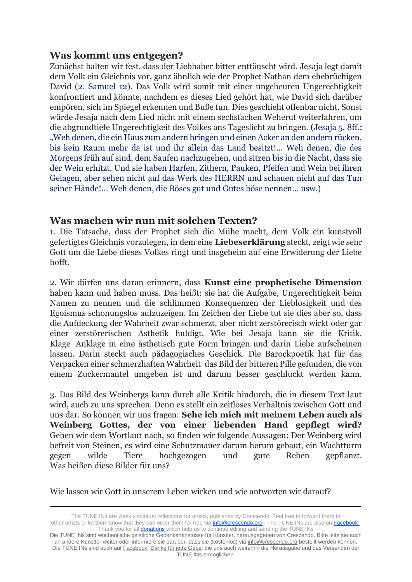# **Was kommt uns entgegen?**

Zunächst halten wir fest, dass der Liebhaber bitter enttäuscht wird. Jesaja legt damit dem Volk ein Gleichnis vor, ganz ähnlich wie der Prophet Nathan dem ehebrüchigen David (2. Samuel 12). Das Volk wird somit mit einer ungeheuren Ungerechtigkeit konfrontiert und könnte, nachdem es dieses Lied gehört hat, wie David sich darüber empören, sich im Spiegel erkennen und Buße tun. Dies geschieht offenbar nicht. Sonst würde Jesaja nach dem Lied nicht mit einem sechsfachen Weheruf weiterfahren, um die abgrundtiefe Ungerechtigkeit des Volkes ans Tageslicht zu bringen. (Jesaja 5, 8ff.: "Weh denen, die ein Haus zum andern bringen und einen Acker an den andern rücken, bis kein Raum mehr da ist und ihr allein das Land besitzt!... Weh denen, die des Morgens früh auf sind, dem Saufen nachzugehen, und sitzen bis in die Nacht, dass sie der Wein erhitzt. Und sie haben Harfen, Zithern, Pauken, Pfeifen und Wein bei ihren Gelagen, aber sehen nicht auf das Werk des HERRN und schauen nicht auf das Tun seiner Hände!... Weh denen, die Böses gut und Gutes böse nennen... usw.)

# **Was machen wir nun mit solchen Texten?**

1. Die Tatsache, dass der Prophet sich die Mühe macht, dem Volk ein kunstvoll gefertigtes Gleichnis vorzulegen, in dem eine **Liebeserklärung** steckt, zeigt wie sehr Gott um die Liebe dieses Volkes ringt und insgeheim auf eine Erwiderung der Liebe hofft.

2. Wir dürfen uns daran erinnern, dass **Kunst eine prophetische Dimension** haben kann und haben muss. Das heißt: sie hat die Aufgabe, Ungerechtigkeit beim Namen zu nennen und die schlimmen Konsequenzen der Lieblosigkeit und des Egoismus schonungslos aufzuzeigen. Im Zeichen der Liebe tut sie dies aber so, dass die Aufdeckung der Wahrheit zwar schmerzt, aber nicht zerstörerisch wirkt oder gar einer zerstörerischen Ästhetik huldigt. Wie bei Jesaja kann sie die Kritik, Klage Anklage in eine ästhetisch gute Form bringen und darin Liebe aufscheinen lassen. Darin steckt auch pädagogisches Geschick. Die Barockpoetik hat für das Verpacken einer schmerzhaften Wahrheit das Bild der bitteren Pille gefunden, die von einem Zuckermantel umgeben ist und darum besser geschluckt werden kann.

3. Das Bild des Weinbergs kann durch alle Kritik hindurch, die in diesem Text laut wird, auch zu uns sprechen. Denn es stellt ein zeitloses Verhältnis zwischen Gott und uns dar. So können wir uns fragen: **Sehe ich mich mit meinem Leben auch als Weinberg Gottes, der von einer liebenden Hand gepflegt wird?** Gehen wir dem Wortlaut nach, so finden wir folgende Aussagen: Der Weinberg wird befreit von Steinen, es wird eine Schutzmauer darum herum gebaut, ein Wachtturm gegen wilde Tiere hochgezogen und gute Reben gepflanzt. Was heißen diese Bilder für uns?

Wie lassen wir Gott in unserem Leben wirken und wie antworten wir darauf?

The TUNE INs are weekly spiritual reflections for artists, published by Crescendo. Feel free to forward them to other artists or let them know that they can order them for free via **info@crescendo.org** . The TUNE INs are also on Facebook . Thank you for all **donations** which help us to continue editing and sending the TUNE INs

Die TUNE INs sind wöchentliche geistliche Gedankenanstösse für Künstler, herausgegeben von Crescendo. Bitte leite sie auch an andere Künstler weiter oder informiere sie darüber, dass sie (kostenlos) via [info@crescendo.org](mailto:info@crescendo.org) bestellt werden können. Die TUNE INs sind auch auf [Facebook.](https://www.facebook.com/TUNEINs/) [Danke für jede Gabe,](https://www.crescendo.org/de/kontakt--spenden.html) die uns auch weiterhin die Herausgabe und das Versenden der TUNE INs ermöglichen.